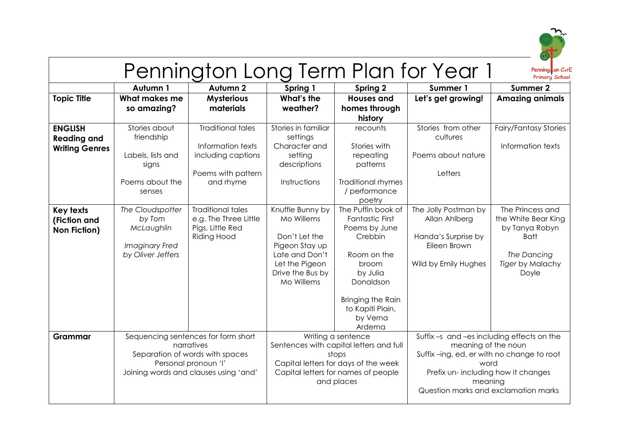

## Pennington Long Term Plan for Year 1

Penning on C<sub>of</sub>E

|                                                               | Autumn 1                                                                                                                                              | Autumn 2                                                                                               | Spring 1                                                                                                                                | Spring 2                                                                                                                                                                                 | Summer 1                                                                                                                                                                                                      | <b>Summer 2</b>                                                                                                      |
|---------------------------------------------------------------|-------------------------------------------------------------------------------------------------------------------------------------------------------|--------------------------------------------------------------------------------------------------------|-----------------------------------------------------------------------------------------------------------------------------------------|------------------------------------------------------------------------------------------------------------------------------------------------------------------------------------------|---------------------------------------------------------------------------------------------------------------------------------------------------------------------------------------------------------------|----------------------------------------------------------------------------------------------------------------------|
| <b>Topic Title</b>                                            | What makes me<br>so amazing?                                                                                                                          | <b>Mysterious</b><br>materials                                                                         | What's the<br>weather?                                                                                                                  | <b>Houses and</b><br>homes through<br>history                                                                                                                                            | Let's get growing!                                                                                                                                                                                            | <b>Amazing animals</b>                                                                                               |
| <b>ENGLISH</b><br><b>Reading and</b><br><b>Writing Genres</b> | Stories about<br>friendship<br>Labels, lists and<br>signs<br>Poems about the<br>senses                                                                | <b>Traditional tales</b><br>Information texts<br>including captions<br>Poems with pattern<br>and rhyme | Stories in familiar<br>settings<br>Character and<br>setting<br>descriptions<br>Instructions                                             | recounts<br>Stories with<br>repeating<br>patterns<br><b>Traditional rhymes</b><br>/ performance<br>poetry                                                                                | Stories from other<br>cultures<br>Poems about nature<br>Letters                                                                                                                                               | <b>Fairy/Fantasy Stories</b><br>Information texts                                                                    |
| <b>Key texts</b><br>(Fiction and<br><b>Non Fiction)</b>       | The Cloudspotter<br>by Tom<br>McLaughlin<br>Imaginary Fred<br>by Oliver Jeffers                                                                       | <b>Traditional tales</b><br>e.g. The Three Little<br>Pigs, Little Red<br><b>Riding Hood</b>            | Knuffle Bunny by<br>Mo Willems<br>Don't Let the<br>Pigeon Stay up<br>Late and Don't<br>Let the Pigeon<br>Drive the Bus by<br>Mo Willems | The Puffin book of<br><b>Fantastic First</b><br>Poems by June<br>Crebbin<br>Room on the<br>broom<br>by Julia<br>Donaldson<br>Bringing the Rain<br>to Kapiti Plain,<br>by Verna<br>Ardema | The Jolly Postman by<br>Allan Ahlberg<br>Handa's Surprise by<br>Eileen Brown<br>Wild by Emily Hughes                                                                                                          | The Princess and<br>the White Bear King<br>by Tanya Robyn<br><b>Batt</b><br>The Dancing<br>Tiger by Malachy<br>Doyle |
| Grammar                                                       | Sequencing sentences for form short<br>narratives<br>Separation of words with spaces<br>Personal pronoun 'I'<br>Joining words and clauses using 'and' |                                                                                                        |                                                                                                                                         | Writing a sentence<br>Sentences with capital letters and full<br>stops<br>Capital letters for days of the week<br>Capital letters for names of people<br>and places                      | Suffix-s and-es including effects on the<br>meaning of the noun<br>Suffix-ing, ed, er with no change to root<br>word<br>Prefix un-including how it changes<br>meaning<br>Question marks and exclamation marks |                                                                                                                      |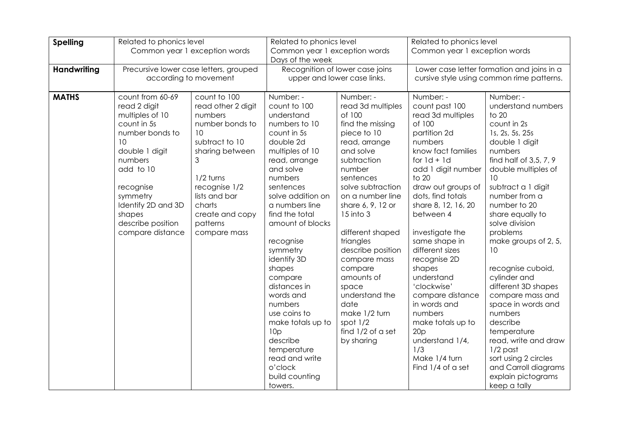| <b>Spelling</b>    | Related to phonics level                                                                                                                                                                                                                |                                                                                                                                                                                                                          | Related to phonics level                                                                                                                                                                                                                                                                                                                                                                                                                                                                     |                                                                                                                                                                                                                                                                                                                                                                                                                                | Related to phonics level                                                                                                                                                                                                                                                                                                                                                                                                                                                                            |                                                                                                                                                                                                                                                                                                                                                                                                                                                                                                                                                                               |
|--------------------|-----------------------------------------------------------------------------------------------------------------------------------------------------------------------------------------------------------------------------------------|--------------------------------------------------------------------------------------------------------------------------------------------------------------------------------------------------------------------------|----------------------------------------------------------------------------------------------------------------------------------------------------------------------------------------------------------------------------------------------------------------------------------------------------------------------------------------------------------------------------------------------------------------------------------------------------------------------------------------------|--------------------------------------------------------------------------------------------------------------------------------------------------------------------------------------------------------------------------------------------------------------------------------------------------------------------------------------------------------------------------------------------------------------------------------|-----------------------------------------------------------------------------------------------------------------------------------------------------------------------------------------------------------------------------------------------------------------------------------------------------------------------------------------------------------------------------------------------------------------------------------------------------------------------------------------------------|-------------------------------------------------------------------------------------------------------------------------------------------------------------------------------------------------------------------------------------------------------------------------------------------------------------------------------------------------------------------------------------------------------------------------------------------------------------------------------------------------------------------------------------------------------------------------------|
|                    |                                                                                                                                                                                                                                         | Common year 1 exception words                                                                                                                                                                                            | Common year 1 exception words<br>Days of the week                                                                                                                                                                                                                                                                                                                                                                                                                                            |                                                                                                                                                                                                                                                                                                                                                                                                                                | Common year 1 exception words                                                                                                                                                                                                                                                                                                                                                                                                                                                                       |                                                                                                                                                                                                                                                                                                                                                                                                                                                                                                                                                                               |
| <b>Handwriting</b> | Precursive lower case letters, grouped<br>according to movement                                                                                                                                                                         |                                                                                                                                                                                                                          | Recognition of lower case joins<br>upper and lower case links.                                                                                                                                                                                                                                                                                                                                                                                                                               |                                                                                                                                                                                                                                                                                                                                                                                                                                | Lower case letter formation and joins in a<br>cursive style using common rime patterns.                                                                                                                                                                                                                                                                                                                                                                                                             |                                                                                                                                                                                                                                                                                                                                                                                                                                                                                                                                                                               |
| <b>MATHS</b>       | count from 60-69<br>read 2 digit<br>multiples of 10<br>count in 5s<br>number bonds to<br>10<br>double 1 digit<br>numbers<br>add to 10<br>recognise<br>symmetry<br>Identify 2D and 3D<br>shapes<br>describe position<br>compare distance | count to 100<br>read other 2 digit<br>numbers<br>number bonds to<br>10<br>subtract to 10<br>sharing between<br>3<br>1/2 turns<br>recognise 1/2<br>lists and bar<br>charts<br>create and copy<br>patterns<br>compare mass | Number: -<br>count to 100<br>understand<br>numbers to 10<br>count in 5s<br>double 2d<br>multiples of 10<br>read, arrange<br>and solve<br>numbers<br>sentences<br>solve addition on<br>a numbers line<br>find the total<br>amount of blocks<br>recognise<br>symmetry<br>identify 3D<br>shapes<br>compare<br>distances in<br>words and<br>numbers<br>use coins to<br>make totals up to<br>10 <sub>p</sub><br>describe<br>temperature<br>read and write<br>o'clock<br>build counting<br>towers. | Number: -<br>read 3d multiples<br>of 100<br>find the missing<br>piece to 10<br>read, arrange<br>and solve<br>subtraction<br>number<br>sentences<br>solve subtraction<br>on a number line<br>share 6, 9, 12 or<br>15 into 3<br>different shaped<br>triangles<br>describe position<br>compare mass<br>compare<br>amounts of<br>space<br>understand the<br>date<br>make 1/2 turn<br>spot $1/2$<br>find 1/2 of a set<br>by sharing | Number: -<br>count past 100<br>read 3d multiples<br>of 100<br>partition 2d<br>numbers<br>know fact families<br>for $1d + 1d$<br>add 1 digit number<br>to 20<br>draw out groups of<br>dots, find totals<br>share 8, 12, 16, 20<br>between 4<br>investigate the<br>same shape in<br>different sizes<br>recognise 2D<br>shapes<br>understand<br>'clockwise'<br>compare distance<br>in words and<br>numbers<br>make totals up to<br>20p<br>understand 1/4,<br>1/3<br>Make 1/4 turn<br>Find 1/4 of a set | Number: -<br>understand numbers<br>to 20<br>count in 2s<br>1s, 2s, 5s, 25s<br>double 1 digit<br>numbers<br>find half of 3,5, 7, 9<br>double multiples of<br>10<br>subtract a 1 digit<br>number from a<br>number to 20<br>share equally to<br>solve division<br>problems<br>make groups of 2, 5,<br>10<br>recognise cuboid,<br>cylinder and<br>different 3D shapes<br>compare mass and<br>space in words and<br>numbers<br>describe<br>temperature<br>read, write and draw<br>$1/2$ past<br>sort using 2 circles<br>and Carroll diagrams<br>explain pictograms<br>keep a tally |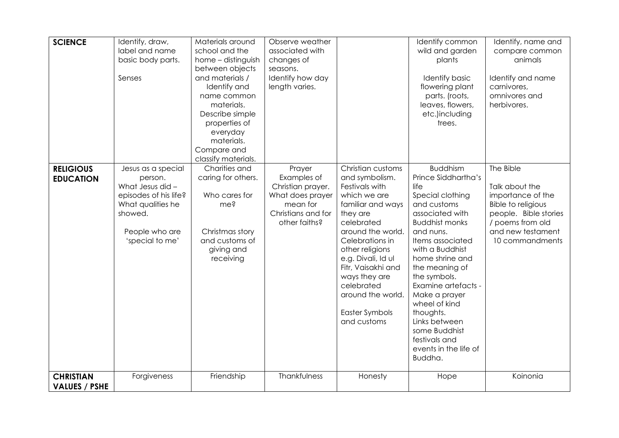| <b>SCIENCE</b>                           | Identify, draw,<br>label and name<br>basic body parts.<br>Senses                                                                                | Materials around<br>school and the<br>home - distinguish<br>between objects<br>and materials /<br>Identify and<br>name common<br>materials.<br>Describe simple<br>properties of<br>everyday<br>materials.<br>Compare and | Observe weather<br>associated with<br>changes of<br>seasons.<br>Identify how day<br>length varies.                |                                                                                                                                                                                                                                                                                                                  | Identify common<br>wild and garden<br>plants<br><b>Identify basic</b><br>flowering plant<br>parts. (roots,<br>leaves, flowers,<br>etc.)including<br>trees.                                                                                                                                                                                                                                          | Identify, name and<br>compare common<br>animals<br>Identify and name<br>carnivores,<br>omnivores and<br>herbivores.                                                |
|------------------------------------------|-------------------------------------------------------------------------------------------------------------------------------------------------|--------------------------------------------------------------------------------------------------------------------------------------------------------------------------------------------------------------------------|-------------------------------------------------------------------------------------------------------------------|------------------------------------------------------------------------------------------------------------------------------------------------------------------------------------------------------------------------------------------------------------------------------------------------------------------|-----------------------------------------------------------------------------------------------------------------------------------------------------------------------------------------------------------------------------------------------------------------------------------------------------------------------------------------------------------------------------------------------------|--------------------------------------------------------------------------------------------------------------------------------------------------------------------|
| <b>RELIGIOUS</b><br><b>EDUCATION</b>     | Jesus as a special<br>person.<br>What Jesus did -<br>episodes of his life?<br>What qualities he<br>showed.<br>People who are<br>'special to me' | classify materials.<br>Charities and<br>caring for others.<br>Who cares for<br>me?<br>Christmas story<br>and customs of<br>giving and<br>receiving                                                                       | Prayer<br>Examples of<br>Christian prayer.<br>What does prayer<br>mean for<br>Christians and for<br>other faiths? | Christian customs<br>and symbolism.<br>Festivals with<br>which we are<br>familiar and ways<br>they are<br>celebrated<br>around the world.<br>Celebrations in<br>other religions<br>e.g. Divali, Id ul<br>Fitr, Vaisakhi and<br>ways they are<br>celebrated<br>around the world.<br>Easter Symbols<br>and customs | <b>Buddhism</b><br>Prince Siddhartha's<br>life<br>Special clothing<br>and customs<br>associated with<br><b>Buddhist monks</b><br>and nuns.<br>Items associated<br>with a Buddhist<br>home shrine and<br>the meaning of<br>the symbols.<br>Examine artefacts -<br>Make a prayer<br>wheel of kind<br>thoughts.<br>Links between<br>some Buddhist<br>festivals and<br>events in the life of<br>Buddha. | The Bible<br>Talk about the<br>importance of the<br><b>Bible to religious</b><br>people. Bible stories<br>/ poems from old<br>and new testament<br>10 commandments |
| <b>CHRISTIAN</b><br><b>VALUES / PSHE</b> | Forgiveness                                                                                                                                     | Friendship                                                                                                                                                                                                               | Thankfulness                                                                                                      | Honesty                                                                                                                                                                                                                                                                                                          | Hope                                                                                                                                                                                                                                                                                                                                                                                                | Koinonia                                                                                                                                                           |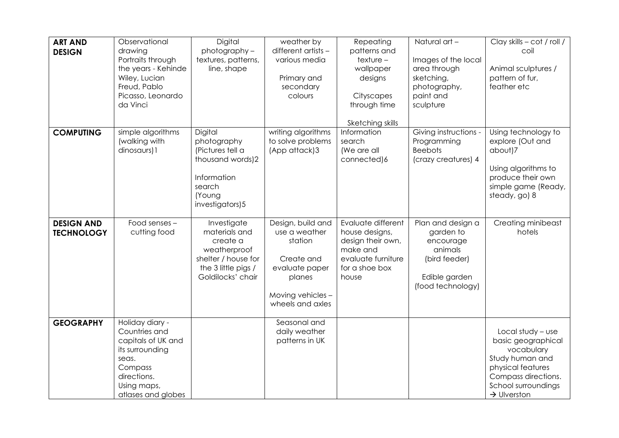| <b>ART AND</b><br><b>DESIGN</b>        | Observational<br>drawing<br>Portraits through<br>the years - Kehinde<br>Wiley, Lucian<br>Freud, Pablo<br>Picasso, Leonardo<br>da Vinci            | Digital<br>photography-<br>textures, patterns,<br>line, shape                                                               | weather by<br>different artists -<br>various media<br>Primary and<br>secondary<br>colours                                        | Repeating<br>patterns and<br>$texture -$<br>wallpaper<br>designs<br>Cityscapes<br>through time<br>Sketching skills     | Natural art -<br>Images of the local<br>area through<br>sketching,<br>photography,<br>paint and<br>sculpture  | Clay skills - cot / roll /<br>coil<br>Animal sculptures /<br>pattern of fur,<br>feather etc                                                                              |
|----------------------------------------|---------------------------------------------------------------------------------------------------------------------------------------------------|-----------------------------------------------------------------------------------------------------------------------------|----------------------------------------------------------------------------------------------------------------------------------|------------------------------------------------------------------------------------------------------------------------|---------------------------------------------------------------------------------------------------------------|--------------------------------------------------------------------------------------------------------------------------------------------------------------------------|
| <b>COMPUTING</b>                       | simple algorithms<br>(walking with<br>dinosaurs) 1                                                                                                | Digital<br>photography<br>(Pictures tell a<br>thousand words)2<br>Information<br>search<br>(Young<br>investigators)5        | writing algorithms<br>to solve problems<br>(App attack)3                                                                         | Information<br>search<br>(We are all<br>connected)6                                                                    | Giving instructions -<br>Programming<br><b>Beebots</b><br>(crazy creatures) 4                                 | Using technology to<br>explore (Out and<br>about)7<br>Using algorithms to<br>produce their own<br>simple game (Ready,<br>steady, go) 8                                   |
| <b>DESIGN AND</b><br><b>TECHNOLOGY</b> | Food senses -<br>cutting food                                                                                                                     | Investigate<br>materials and<br>create a<br>weatherproof<br>shelter / house for<br>the 3 little pigs /<br>Goldilocks' chair | Design, build and<br>use a weather<br>station<br>Create and<br>evaluate paper<br>planes<br>Moving vehicles -<br>wheels and axles | Evaluate different<br>house designs,<br>design their own,<br>make and<br>evaluate furniture<br>for a shoe box<br>house | Plan and design a<br>garden to<br>encourage<br>animals<br>(bird feeder)<br>Edible garden<br>(food technology) | Creating minibeast<br>hotels                                                                                                                                             |
| <b>GEOGRAPHY</b>                       | Holiday diary -<br>Countries and<br>capitals of UK and<br>its surrounding<br>seas.<br>Compass<br>directions.<br>Using maps,<br>atlases and globes |                                                                                                                             | Seasonal and<br>daily weather<br>patterns in UK                                                                                  |                                                                                                                        |                                                                                                               | Local study $-$ use<br>basic geographical<br>vocabulary<br>Study human and<br>physical features<br>Compass directions.<br>School surroundings<br>$\rightarrow$ Ulverston |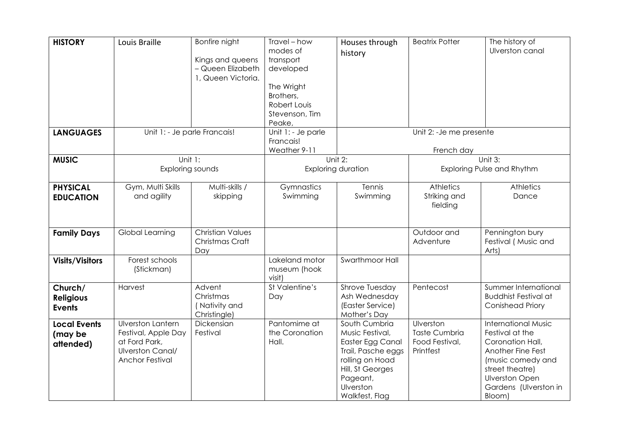| <b>HISTORY</b>         | Louis Braille                | Bonfire night           | Travel - how          | Houses through               | <b>Beatrix Potter</b>    | The history of                           |
|------------------------|------------------------------|-------------------------|-----------------------|------------------------------|--------------------------|------------------------------------------|
|                        |                              | Kings and queens        | modes of<br>transport | history                      |                          | Ulverston canal                          |
|                        |                              | - Queen Elizabeth       | developed             |                              |                          |                                          |
|                        |                              | 1, Queen Victoria.      |                       |                              |                          |                                          |
|                        |                              |                         | The Wright            |                              |                          |                                          |
|                        |                              |                         | Brothers,             |                              |                          |                                          |
|                        |                              |                         | Robert Louis          |                              |                          |                                          |
|                        |                              |                         | Stevenson, Tim        |                              |                          |                                          |
|                        |                              |                         | Peake,                |                              |                          |                                          |
| <b>LANGUAGES</b>       | Unit 1: - Je parle Francais! |                         | Unit 1: - Je parle    |                              | Unit 2: - Je me presente |                                          |
|                        |                              |                         | Francais!             |                              |                          |                                          |
|                        |                              |                         | Weather 9-11          |                              | French day               |                                          |
| <b>MUSIC</b>           |                              | Unit $1$ :              |                       | Unit 2:                      |                          | Unit $3:$                                |
|                        | Exploring sounds             |                         |                       | <b>Exploring duration</b>    |                          | Exploring Pulse and Rhythm               |
| <b>PHYSICAL</b>        | Gym, Multi Skills            | Multi-skills /          | Gymnastics            | Tennis                       | <b>Athletics</b>         | Athletics                                |
| <b>EDUCATION</b>       | and agility                  | skipping                | Swimming              | Swimming                     | Striking and             | Dance                                    |
|                        |                              |                         |                       |                              | fielding                 |                                          |
|                        |                              |                         |                       |                              |                          |                                          |
|                        |                              | <b>Christian Values</b> |                       |                              | Outdoor and              |                                          |
| <b>Family Days</b>     | Global Learning              | Christmas Craft         |                       |                              | Adventure                | Pennington bury<br>Festival (Music and   |
|                        |                              | Day                     |                       |                              |                          | Arts)                                    |
| <b>Visits/Visitors</b> | Forest schools               |                         | Lakeland motor        | Swarthmoor Hall              |                          |                                          |
|                        | (Stickman)                   |                         | museum (hook          |                              |                          |                                          |
|                        |                              |                         | visit)                |                              |                          |                                          |
| Church/                | Harvest                      | Advent                  | St Valentine's        | Shrove Tuesday               | Pentecost                | Summer International                     |
| <b>Religious</b>       |                              | Christmas               | Day                   | Ash Wednesday                |                          | <b>Buddhist Festival at</b>              |
| <b>Events</b>          |                              | (Nativity and           |                       | (Easter Service)             |                          | <b>Conishead Priory</b>                  |
|                        |                              | Christingle)            |                       | Mother's Day                 |                          |                                          |
| <b>Local Events</b>    | <b>Ulverston Lantern</b>     | Dickensian              | Pantomime at          | South Cumbria                | Ulverston                | <b>International Music</b>               |
| (may be                | Festival, Apple Day          | Festival                | the Coronation        | Music Festival,              | <b>Taste Cumbria</b>     | Festival at the                          |
| attended)              | at Ford Park,                |                         | Hall.                 | Easter Egg Canal             | Food Festival,           | Coronation Hall,                         |
|                        | Ulverston Canal/             |                         |                       | Trail, Pasche eggs           | Printfest                | Another Fine Fest                        |
|                        | <b>Anchor Festival</b>       |                         |                       | rolling on Hoad              |                          | (music comedy and                        |
|                        |                              |                         |                       | Hill, St Georges<br>Pageant, |                          | street theatre)<br><b>Ulverston Open</b> |
|                        |                              |                         |                       | Ulverston                    |                          | Gardens (Ulverston in                    |
|                        |                              |                         |                       | Walkfest, Flag               |                          | Bloom)                                   |
|                        |                              |                         |                       |                              |                          |                                          |